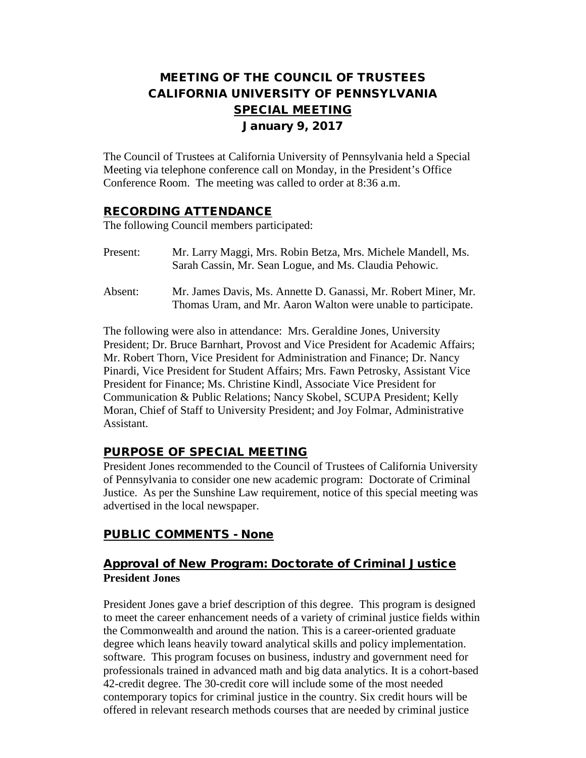# MEETING OF THE COUNCIL OF TRUSTEES CALIFORNIA UNIVERSITY OF PENNSYLVANIA SPECIAL MEETING January 9, 2017

The Council of Trustees at California University of Pennsylvania held a Special Meeting via telephone conference call on Monday, in the President's Office Conference Room. The meeting was called to order at 8:36 a.m.

#### RECORDING ATTENDANCE

The following Council members participated:

- Present: Mr. Larry Maggi, Mrs. Robin Betza, Mrs. Michele Mandell, Ms. Sarah Cassin, Mr. Sean Logue, and Ms. Claudia Pehowic.
- Absent: Mr. James Davis, Ms. Annette D. Ganassi, Mr. Robert Miner, Mr. Thomas Uram, and Mr. Aaron Walton were unable to participate.

The following were also in attendance: Mrs. Geraldine Jones, University President; Dr. Bruce Barnhart, Provost and Vice President for Academic Affairs; Mr. Robert Thorn, Vice President for Administration and Finance; Dr. Nancy Pinardi, Vice President for Student Affairs; Mrs. Fawn Petrosky, Assistant Vice President for Finance; Ms. Christine Kindl, Associate Vice President for Communication & Public Relations; Nancy Skobel, SCUPA President; Kelly Moran, Chief of Staff to University President; and Joy Folmar, Administrative Assistant.

## PURPOSE OF SPECIAL MEETING

President Jones recommended to the Council of Trustees of California University of Pennsylvania to consider one new academic program: Doctorate of Criminal Justice. As per the Sunshine Law requirement, notice of this special meeting was advertised in the local newspaper.

## PUBLIC COMMENTS - None

## Approval of New Program: Doctorate of Criminal Justice **President Jones**

President Jones gave a brief description of this degree. This program is designed to meet the career enhancement needs of a variety of criminal justice fields within the Commonwealth and around the nation. This is a career-oriented graduate degree which leans heavily toward analytical skills and policy implementation. software. This program focuses on business, industry and government need for professionals trained in advanced math and big data analytics. It is a cohort-based 42-credit degree. The 30-credit core will include some of the most needed contemporary topics for criminal justice in the country. Six credit hours will be offered in relevant research methods courses that are needed by criminal justice